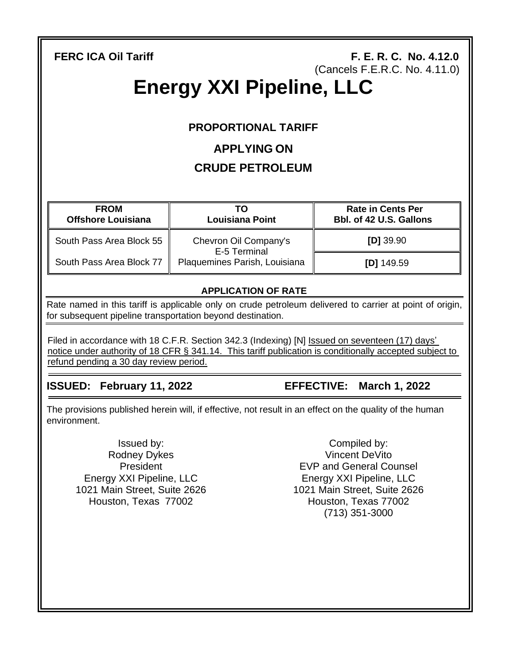**FERC ICA OII Tariff F. E. R. C. No. 4.12.0** (Cancels F.E.R.C. No. 4.11.0)

# **Energy XXI Pipeline, LLC**

# **PROPORTIONAL TARIFF**

# **APPLYING ON**

# **CRUDE PETROLEUM**

| <b>FROM</b><br><b>Offshore Louisiana</b> | ТΟ<br><b>Louisiana Point</b>                                           | <b>Rate in Cents Per</b><br>Bbl. of 42 U.S. Gallons |
|------------------------------------------|------------------------------------------------------------------------|-----------------------------------------------------|
| South Pass Area Block 55                 | Chevron Oil Company's<br>E-5 Terminal<br>Plaquemines Parish, Louisiana | $[D]$ 39.90                                         |
| South Pass Area Block 77                 |                                                                        | $[D]$ 149.59                                        |

# **APPLICATION OF RATE**

Rate named in this tariff is applicable only on crude petroleum delivered to carrier at point of origin, for subsequent pipeline transportation beyond destination.

Filed in accordance with 18 C.F.R. Section 342.3 (Indexing) [N] Issued on seventeen (17) days' notice under authority of 18 CFR § 341.14. This tariff publication is conditionally accepted subject to refund pending a 30 day review period.

# **ISSUED: February 11, 2022 EFFECTIVE: March 1, 2022**

The provisions published herein will, if effective, not result in an effect on the quality of the human environment.

Issued by: Rodney Dykes **President** Energy XXI Pipeline, LLC 1021 Main Street, Suite 2626 Houston, Texas 77002

Compiled by: Vincent DeVito EVP and General Counsel Energy XXI Pipeline, LLC 1021 Main Street, Suite 2626 Houston, Texas 77002 (713) 351-3000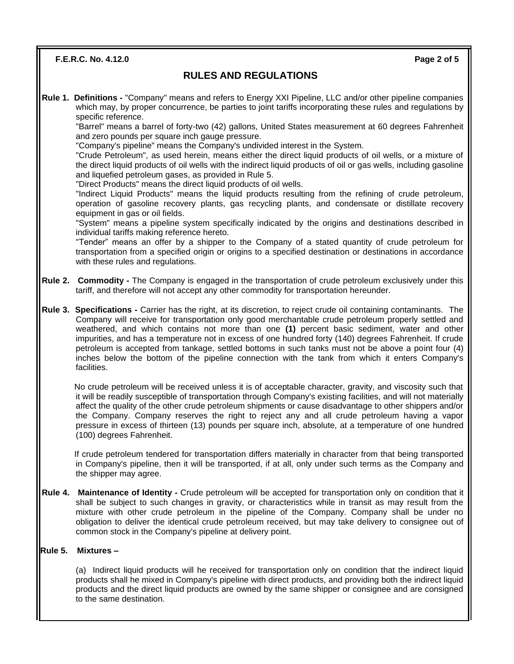**F.E.R.C. No. 4.12.0 Page 2 of 5**

## **RULES AND REGULATIONS**

**Rule 1. Definitions -** "Company" means and refers to Energy XXI Pipeline, LLC and/or other pipeline companies which may, by proper concurrence, be parties to joint tariffs incorporating these rules and regulations by specific reference.

"Barrel" means a barrel of forty-two (42) gallons, United States measurement at 60 degrees Fahrenheit and zero pounds per square inch gauge pressure.

"Company's pipeline" means the Company's undivided interest in the System.

"Crude Petroleum", as used herein, means either the direct liquid products of oil wells, or a mixture of the direct liquid products of oil wells with the indirect liquid products of oil or gas wells, including gasoline and liquefied petroleum gases, as provided in Rule 5.

"Direct Products" means the direct liquid products of oil wells.

"Indirect Liquid Products" means the liquid products resulting from the refining of crude petroleum, operation of gasoline recovery plants, gas recycling plants, and condensate or distillate recovery equipment in gas or oil fields.

"System" means a pipeline system specifically indicated by the origins and destinations described in individual tariffs making reference hereto.

"Tender" means an offer by a shipper to the Company of a stated quantity of crude petroleum for transportation from a specified origin or origins to a specified destination or destinations in accordance with these rules and regulations.

- **Rule 2. Commodity -** The Company is engaged in the transportation of crude petroleum exclusively under this tariff, and therefore will not accept any other commodity for transportation hereunder.
- **Rule 3. Specifications -** Carrier has the right, at its discretion, to reject crude oil containing contaminants.The Company will receive for transportation only good merchantable crude petroleum properly settled and weathered, and which contains not more than one **(1)** percent basic sediment, water and other impurities, and has a temperature not in excess of one hundred forty (140) degrees Fahrenheit. If crude petroleum is accepted from tankage, settled bottoms in such tanks must not be above a point four (4) inches below the bottom of the pipeline connection with the tank from which it enters Company's facilities.

 No crude petroleum will be received unless it is of acceptable character, gravity, and viscosity such that it will be readily susceptible of transportation through Company's existing facilities, and will not materially affect the quality of the other crude petroleum shipments or cause disadvantage to other shippers and/or the Company. Company reserves the right to reject any and all crude petroleum having a vapor pressure in excess of thirteen (13) pounds per square inch, absolute, at a temperature of one hundred (100) degrees Fahrenheit.

 If crude petroleum tendered for transportation differs materially in character from that being transported in Company's pipeline, then it will be transported, if at all, only under such terms as the Company and the shipper may agree.

**Rule 4. Maintenance of Identity -** Crude petroleum will be accepted for transportation only on condition that it shall be subject to such changes in gravity, or characteristics while in transit as may result from the mixture with other crude petroleum in the pipeline of the Company. Company shall be under no obligation to deliver the identical crude petroleum received, but may take delivery to consignee out of common stock in the Company's pipeline at delivery point.

### **Rule 5. Mixtures –**

(a) Indirect liquid products will he received for transportation only on condition that the indirect liquid products shall he mixed in Company's pipeline with direct products, and providing both the indirect liquid products and the direct liquid products are owned by the same shipper or consignee and are consigned to the same destination.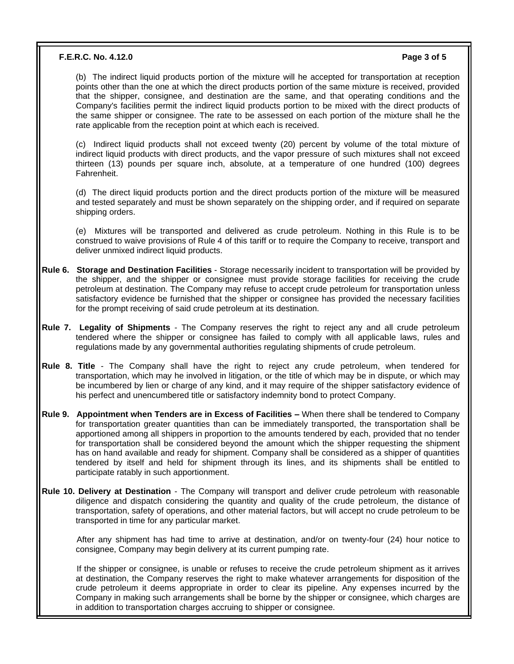### **F.E.R.C. No. 4.12.0 Page 3 of 5**

(b) The indirect liquid products portion of the mixture will he accepted for transportation at reception points other than the one at which the direct products portion of the same mixture is received, provided that the shipper, consignee, and destination are the same, and that operating conditions and the Company's facilities permit the indirect liquid products portion to be mixed with the direct products of the same shipper or consignee. The rate to be assessed on each portion of the mixture shall he the rate applicable from the reception point at which each is received.

(c) Indirect liquid products shall not exceed twenty (20) percent by volume of the total mixture of indirect liquid products with direct products, and the vapor pressure of such mixtures shall not exceed thirteen (13) pounds per square inch, absolute, at a temperature of one hundred (100) degrees Fahrenheit.

(d) The direct liquid products portion and the direct products portion of the mixture will be measured and tested separately and must be shown separately on the shipping order, and if required on separate shipping orders.

(e) Mixtures will be transported and delivered as crude petroleum. Nothing in this Rule is to be construed to waive provisions of Rule 4 of this tariff or to require the Company to receive, transport and deliver unmixed indirect liquid products.

- **Rule 6. Storage and Destination Facilities** Storage necessarily incident to transportation will be provided by the shipper, and the shipper or consignee must provide storage facilities for receiving the crude petroleum at destination. The Company may refuse to accept crude petroleum for transportation unless satisfactory evidence be furnished that the shipper or consignee has provided the necessary facilities for the prompt receiving of said crude petroleum at its destination.
- **Rule 7. Legality of Shipments** The Company reserves the right to reject any and all crude petroleum tendered where the shipper or consignee has failed to comply with all applicable laws, rules and regulations made by any governmental authorities regulating shipments of crude petroleum.
- **Rule 8. Title** The Company shall have the right to reject any crude petroleum, when tendered for transportation, which may he involved in litigation, or the title of which may be in dispute, or which may be incumbered by lien or charge of any kind, and it may require of the shipper satisfactory evidence of his perfect and unencumbered title or satisfactory indemnity bond to protect Company.
- **Rule 9. Appointment when Tenders are in Excess of Facilities –** When there shall be tendered to Company for transportation greater quantities than can be immediately transported, the transportation shall be apportioned among all shippers in proportion to the amounts tendered by each, provided that no tender for transportation shall be considered beyond the amount which the shipper requesting the shipment has on hand available and ready for shipment. Company shall be considered as a shipper of quantities tendered by itself and held for shipment through its lines, and its shipments shall be entitled to participate ratably in such apportionment.
- **Rule 10. Delivery at Destination** The Company will transport and deliver crude petroleum with reasonable diligence and dispatch considering the quantity and quality of the crude petroleum, the distance of transportation, safety of operations, and other material factors, but will accept no crude petroleum to be transported in time for any particular market.

 After any shipment has had time to arrive at destination, and/or on twenty-four (24) hour notice to consignee, Company may begin delivery at its current pumping rate.

 If the shipper or consignee, is unable or refuses to receive the crude petroleum shipment as it arrives at destination, the Company reserves the right to make whatever arrangements for disposition of the crude petroleum it deems appropriate in order to clear its pipeline. Any expenses incurred by the Company in making such arrangements shall be borne by the shipper or consignee, which charges are in addition to transportation charges accruing to shipper or consignee.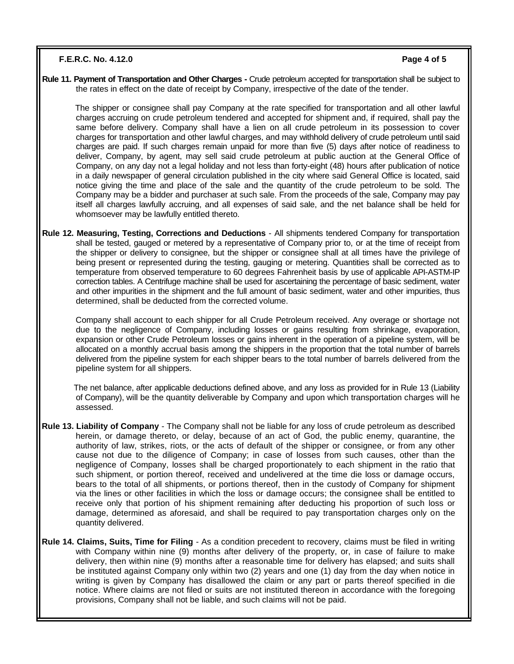### **F.E.R.C. No. 4.12.0 Page 4 of 5**

**Rule 11. Payment of Transportation and Other Charges -** Crude petroleum accepted for transportation shall be subject to the rates in effect on the date of receipt by Company, irrespective of the date of the tender.

 The shipper or consignee shall pay Company at the rate specified for transportation and all other lawful charges accruing on crude petroleum tendered and accepted for shipment and, if required, shall pay the same before delivery. Company shall have a lien on all crude petroleum in its possession to cover charges for transportation and other lawful charges, and may withhold delivery of crude petroleum until said charges are paid. If such charges remain unpaid for more than five (5) days after notice of readiness to deliver, Company, by agent, may sell said crude petroleum at public auction at the General Office of Company, on any day not a legal holiday and not less than forty-eight (48) hours after publication of notice in a daily newspaper of general circulation published in the city where said General Office is located, said notice giving the time and place of the sale and the quantity of the crude petroleum to be sold. The Company may be a bidder and purchaser at such sale. From the proceeds of the sale, Company may pay itself all charges lawfully accruing, and all expenses of said sale, and the net balance shall be held for whomsoever may be lawfully entitled thereto.

**Rule 12. Measuring, Testing, Corrections and Deductions** - All shipments tendered Company for transportation shall be tested, gauged or metered by a representative of Company prior to, or at the time of receipt from the shipper or delivery to consignee, but the shipper or consignee shall at all times have the privilege of being present or represented during the testing, gauging or metering. Quantities shall be corrected as to temperature from observed temperature to 60 degrees Fahrenheit basis by use of applicable API-ASTM-IP correction tables. A Centrifuge machine shall be used for ascertaining the percentage of basic sediment, water and other impurities in the shipment and the full amount of basic sediment, water and other impurities, thus determined, shall be deducted from the corrected volume.

 Company shall account to each shipper for all Crude Petroleum received. Any overage or shortage not due to the negligence of Company, including losses or gains resulting from shrinkage, evaporation, expansion or other Crude Petroleum losses or gains inherent in the operation of a pipeline system, will be allocated on a monthly accrual basis among the shippers in the proportion that the total number of barrels delivered from the pipeline system for each shipper bears to the total number of barrels delivered from the pipeline system for all shippers.

 The net balance, after applicable deductions defined above, and any loss as provided for in Rule 13 (Liability of Company), will be the quantity deliverable by Company and upon which transportation charges will he assessed.

- **Rule 13. Liability of Company**  The Company shall not be liable for any loss of crude petroleum as described herein, or damage thereto, or delay, because of an act of God, the public enemy, quarantine, the authority of law, strikes, riots, or the acts of default of the shipper or consignee, or from any other cause not due to the diligence of Company; in case of losses from such causes, other than the negligence of Company, losses shall be charged proportionately to each shipment in the ratio that such shipment, or portion thereof, received and undelivered at the time die loss or damage occurs, bears to the total of all shipments, or portions thereof, then in the custody of Company for shipment via the lines or other facilities in which the loss or damage occurs; the consignee shall be entitled to receive only that portion of his shipment remaining after deducting his proportion of such loss or damage, determined as aforesaid, and shall be required to pay transportation charges only on the quantity delivered.
- **Rule 14. Claims, Suits, Time for Filing** As a condition precedent to recovery, claims must be filed in writing with Company within nine (9) months after delivery of the property, or, in case of failure to make delivery, then within nine (9) months after a reasonable time for delivery has elapsed; and suits shall be instituted against Company only within two (2) years and one (1) day from the day when notice in writing is given by Company has disallowed the claim or any part or parts thereof specified in die notice. Where claims are not filed or suits are not instituted thereon in accordance with the foregoing provisions, Company shall not be liable, and such claims will not be paid.